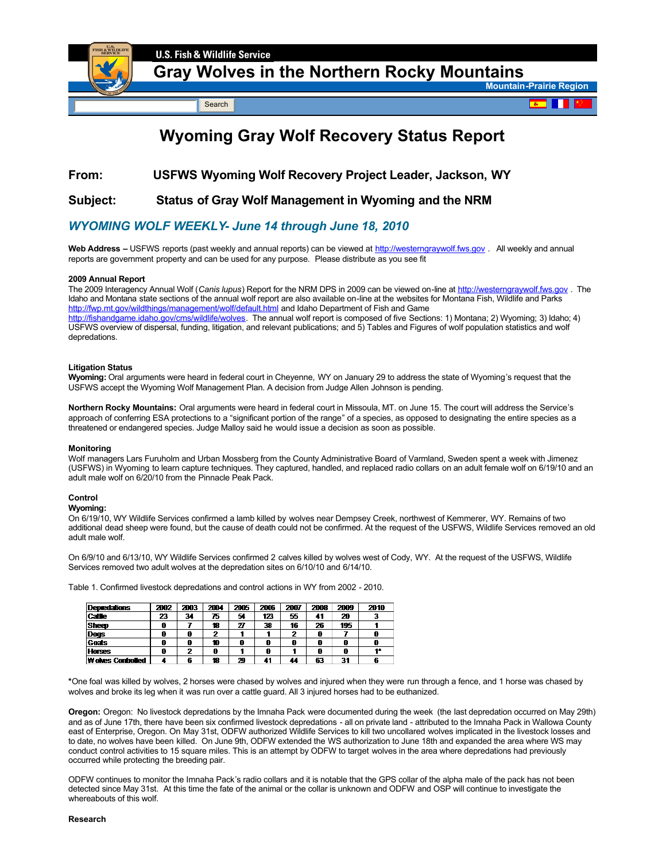

## **[Gray Wolves in the Northern Rocky Mountains](http://www.fws.gov/mountain-prairie/species/mammals/wolf)**

Search

**Mountain-Prairie Region** 

# **Wyoming Gray Wolf Recovery Status Report**

## **From: USFWS Wyoming Wolf Recovery Project Leader, Jackson, WY**

### **Subject: Status of Gray Wolf Management in Wyoming and the NRM**

## *WYOMING WOLF WEEKLY June 14 through June 18, 2010*

Web Address – USFWS reports (past weekly and annual reports) can be viewed at [http://westerngraywolf.fws.gov](http://westerngraywolf.fws.gov/) . All weekly and annual reports are government property and can be used for any purpose. Please distribute as you see fit

#### **2009 Annual Report**

The 2009 Interagency Annual Wolf (*Canis lupus*) Report for the NRM DPS in 2009 can be viewed online at [http://westerngraywolf.fws.gov](http://westerngraywolf.fws.gov/) . The Idaho and Montana state sections of the annual wolf report are also available on-line at the websites for Montana Fish, Wildlife and Parks [http://fwp.mt.gov/wildthings/management/wolf/default.html](http://www.fws.gov/scripts/exit.cfm?link=http://fwp.mt.gov/wildthings/management/wolf/default.html&linkname=Montana Fish Wildlife and Parks) and Idaho Department of Fish and Game [http://fishandgame.idaho.gov/cms/wildlife/wolves](http://www.fws.gov/scripts/exit.cfm?link=http://fishandgame.idaho.gov/cms/wildlife/wolves&linkname=Idaho Fish and Game). The annual wolf report is composed of five Sections: 1) Montana; 2) Wyoming; 3) Idaho; 4) USFWS overview of dispersal, funding, litigation, and relevant publications; and 5) Tables and Figures of wolf population statistics and wolf depredations.

#### **Litigation Status**

**Wyoming:** Oral arguments were heard in federal court in Cheyenne, WY on January 29 to address the state of Wyoming's request that the USFWS accept the Wyoming Wolf Management Plan. A decision from Judge Allen Johnson is pending.

**Northern Rocky Mountains:** Oral arguments were heard in federal court in Missoula, MT. on June 15. The court will address the Service's approach of conferring ESA protections to a "significant portion of the range" of a species, as opposed to designating the entire species as a threatened or endangered species. Judge Malloy said he would issue a decision as soon as possible.

#### **Monitoring**

Wolf managers Lars Furuholm and Urban Mossberg from the County Administrative Board of Varmland, Sweden spent a week with Jimenez (USFWS) in Wyoming to learn capture techniques. They captured, handled, and replaced radio collars on an adult female wolf on 6/19/10 and an adult male wolf on 6/20/10 from the Pinnacle Peak Pack.

#### **Control**

#### **Wyoming:**

On 6/19/10, WY Wildlife Services confirmed a lamb killed by wolves near Dempsey Creek, northwest of Kemmerer, WY. Remains of two additional dead sheep were found, but the cause of death could not be confirmed. At the request of the USFWS, Wildlife Services removed an old adult male wolf.

On 6/9/10 and 6/13/10, WY Wildlife Services confirmed 2 calves killed by wolves west of Cody, WY. At the request of the USFWS, Wildlife Services removed two adult wolves at the depredation sites on 6/10/10 and 6/14/10.

Table 1. Confirmed livestock depredations and control actions in WY from 2002 2010.

| <b>Depredations</b>     | 2002 | 2003 | 2004 | 2005 | 2006 | 2007 | 2008 | 2009 | 2010 |
|-------------------------|------|------|------|------|------|------|------|------|------|
| Cattle                  | 23   | 34   | 75   | 54   | 123  | 55   |      | 20   |      |
| Sheep                   | 0    |      | 18   | 27   | 38   | 16   | 26   | 195  |      |
| Dogs                    | ß    | 0    | o    |      |      | 7    |      |      |      |
| Goats                   | ß    | A    | 10   | 0    | 0    |      | 0    | 0    | 0    |
| <b>Horses</b>           | ß    | າ    |      |      | ß    |      |      | 0    |      |
| <b>Wokes Controlled</b> |      | 6    | 18   | 29   | 41   | 44   | 63   | 31   | 6    |

**\***One foal was killed by wolves, 2 horses were chased by wolves and injured when they were run through a fence, and 1 horse was chased by wolves and broke its leg when it was run over a cattle guard. All 3 injured horses had to be euthanized.

**Oregon:** Oregon: No livestock depredations by the Imnaha Pack were documented during the week (the last depredation occurred on May 29th) and as of June 17th, there have been six confirmed livestock depredations - all on private land - attributed to the Imnaha Pack in Wallowa County east of Enterprise, Oregon. On May 31st, ODFW authorized Wildlife Services to kill two uncollared wolves implicated in the livestock losses and to date, no wolves have been killed. On June 9th, ODFW extended the WS authorization to June 18th and expanded the area where WS may conduct control activities to 15 square miles. This is an attempt by ODFW to target wolves in the area where depredations had previously occurred while protecting the breeding pair.

ODFW continues to monitor the Imnaha Pack's radio collars and it is notable that the GPS collar of the alpha male of the pack has not been detected since May 31st. At this time the fate of the animal or the collar is unknown and ODFW and OSP will continue to investigate the whereabouts of this wolf.